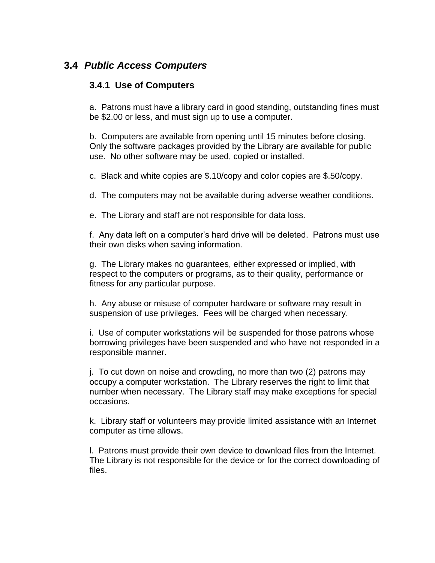# **3.4** *Public Access Computers*

#### **3.4.1 Use of Computers**

a. Patrons must have a library card in good standing, outstanding fines must be \$2.00 or less, and must sign up to use a computer.

b. Computers are available from opening until 15 minutes before closing. Only the software packages provided by the Library are available for public use. No other software may be used, copied or installed.

c. Black and white copies are \$.10/copy and color copies are \$.50/copy.

d. The computers may not be available during adverse weather conditions.

e. The Library and staff are not responsible for data loss.

f. Any data left on a computer's hard drive will be deleted. Patrons must use their own disks when saving information.

g. The Library makes no guarantees, either expressed or implied, with respect to the computers or programs, as to their quality, performance or fitness for any particular purpose.

h. Any abuse or misuse of computer hardware or software may result in suspension of use privileges. Fees will be charged when necessary.

i. Use of computer workstations will be suspended for those patrons whose borrowing privileges have been suspended and who have not responded in a responsible manner.

j. To cut down on noise and crowding, no more than two (2) patrons may occupy a computer workstation. The Library reserves the right to limit that number when necessary. The Library staff may make exceptions for special occasions.

k. Library staff or volunteers may provide limited assistance with an Internet computer as time allows.

l. Patrons must provide their own device to download files from the Internet. The Library is not responsible for the device or for the correct downloading of files.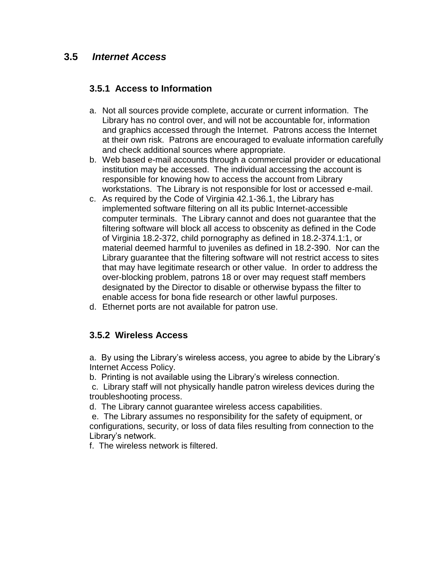## **3.5** *Internet Access*

### **3.5.1 Access to Information**

- a. Not all sources provide complete, accurate or current information. The Library has no control over, and will not be accountable for, information and graphics accessed through the Internet. Patrons access the Internet at their own risk. Patrons are encouraged to evaluate information carefully and check additional sources where appropriate.
- b. Web based e-mail accounts through a commercial provider or educational institution may be accessed. The individual accessing the account is responsible for knowing how to access the account from Library workstations. The Library is not responsible for lost or accessed e-mail.
- c. As required by the Code of Virginia 42.1-36.1, the Library has implemented software filtering on all its public Internet-accessible computer terminals. The Library cannot and does not guarantee that the filtering software will block all access to obscenity as defined in the Code of Virginia 18.2-372, child pornography as defined in 18.2-374.1:1, or material deemed harmful to juveniles as defined in 18.2-390. Nor can the Library guarantee that the filtering software will not restrict access to sites that may have legitimate research or other value. In order to address the over-blocking problem, patrons 18 or over may request staff members designated by the Director to disable or otherwise bypass the filter to enable access for bona fide research or other lawful purposes.
- d. Ethernet ports are not available for patron use.

## **3.5.2 Wireless Access**

a. By using the Library's wireless access, you agree to abide by the Library's Internet Access Policy.

b. Printing is not available using the Library's wireless connection.

c. Library staff will not physically handle patron wireless devices during the troubleshooting process.

d. The Library cannot guarantee wireless access capabilities.

e. The Library assumes no responsibility for the safety of equipment, or configurations, security, or loss of data files resulting from connection to the Library's network.

f. The wireless network is filtered.